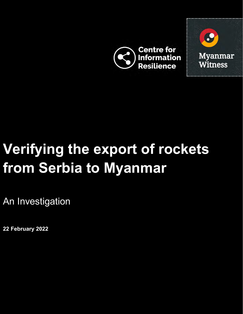



# **Verifying the export of rockets from Serbia to Myanmar**

An Investigation

**22 February 2022**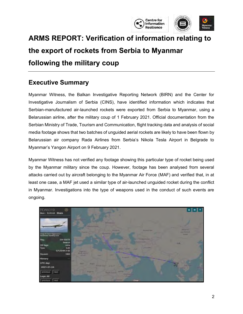

# **ARMS REPORT: Verification of information relating to the export of rockets from Serbia to Myanmar following the military coup**

#### <span id="page-1-0"></span>**Executive Summary**

Myanmar Witness, the Balkan Investigative Reporting Network (BIRN) and the Center for Investigative Journalism of Serbia (CINS), have identified information which indicates that Serbian-manufactured air-launched rockets were exported from Serbia to Myanmar, using a Belarussian airline, after the military coup of 1 February 2021. Official documentation from the Serbian Ministry of Trade, Tourism and Communication, flight tracking data and analysis of social media footage shows that two batches of unguided aerial rockets are likely to have been flown by Belarussian air company Rada Airlines from Serbia's Nikola Tesla Airport in Belgrade to Myanmar's Yangon Airport on 9 February 2021.

Myanmar Witness has not verified any footage showing this particular type of rocket being used by the Myanmar military since the coup. However, footage has been analysed from several attacks carried out by aircraft belonging to the Myanmar Air Force (MAF) and verified that, in at least one case, a MAF jet used a similar type of air-launched unguided rocket during the conflict in Myanmar. Investigations into the type of weapons used in the conduct of such events are ongoing.

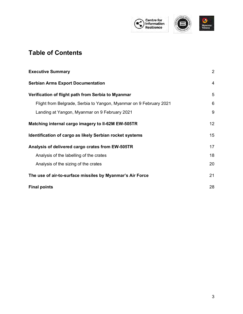

#### **Table of Contents**

| <b>Executive Summary</b>                                           | $\overline{2}$ |
|--------------------------------------------------------------------|----------------|
| <b>Serbian Arms Export Documentation</b>                           | $\overline{4}$ |
| Verification of flight path from Serbia to Myanmar                 | 5              |
| Flight from Belgrade, Serbia to Yangon, Myanmar on 9 February 2021 | 6              |
| Landing at Yangon, Myanmar on 9 February 2021                      | 9              |
| Matching internal cargo imagery to II-62M EW-505TR                 | 12             |
| Identification of cargo as likely Serbian rocket systems           | 15             |
| Analysis of delivered cargo crates from EW-505TR                   | 17             |
| Analysis of the labelling of the crates                            | 18             |
| Analysis of the sizing of the crates                               | 20             |
| The use of air-to-surface missiles by Myanmar's Air Force          | 21             |
| <b>Final points</b>                                                | 28             |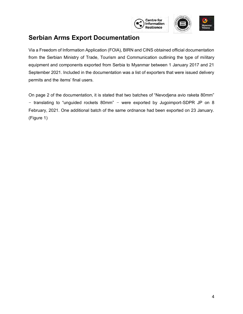

#### <span id="page-3-0"></span>**Serbian Arms Export Documentation**

Via a Freedom of Information Application (FOIA), BIRN and CINS obtained official documentation from the Serbian Ministry of Trade, Tourism and Communication outlining the type of military equipment and components exported from Serbia to Myanmar between 1 January 2017 and 21 September 2021. Included in the documentation was a list of exporters that were issued delivery permits and the items' final users.

On page 2 of the documentation, it is stated that two batches of "Nevodjena avio raketa 80mm" – translating to "unguided rockets 80mm" – were exported by Jugoimport-SDPR JP on 8 February, 2021. One additional batch of the same ordnance had been exported on 23 January. (Figure 1)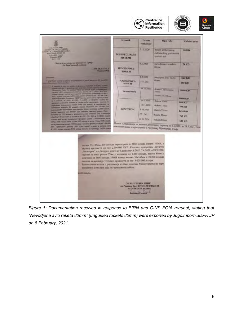

**Centre for** 

<span id="page-4-0"></span>*Figure 1: Documentation received in response to BIRN and CINS FOIA request, stating that "Nevodjena avio raketa 80mm" (unguided rockets 80mm) were exported by Jugoimport-SDPR JP on 8 February, 2021.*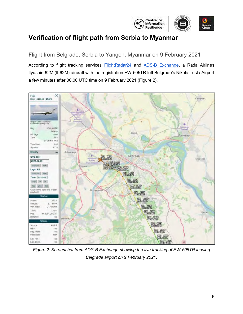

#### **Verification of flight path from Serbia to Myanmar**

<span id="page-5-0"></span>Flight from Belgrade, Serbia to Yangon, Myanmar on 9 February 2021

According to flight tracking services **[FlightRadar24](https://www.flightradar24.com/multiview/34.8,27.73/6)** and [ADS-B Exchange,](https://www.adsbexchange.com/) a Rada Airlines Ilyushin-62M (Il-62M) aircraft with the registration EW-505TR left Belgrade's Nikola Tesla Airport a few minutes after 00.00 UTC time on 9 February 2021 (Figure 2).



*Figure 2: Screenshot from ADS-B Exchange showing the live tracking of EW-505TR leaving Belgrade airport on 9 February 2021.*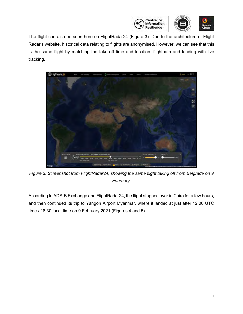

The flight can also be seen here on FlightRadar24 (Figure 3). Due to the architecture of Flight Radar's website, historical data relating to flights are anonymised. However, we can see that this is the same flight by matching the take-off time and location, flightpath and landing with live tracking.



*Figure 3: Screenshot from FlightRadar24, showing the same flight taking off from Belgrade on 9 February.*

According to ADS-B Exchange and FlightRadar24, the flight stopped over in Cairo for a few hours, and then continued its trip to Yangon Airport Myanmar, where it landed at just after 12.00 UTC time / 18.30 local time on 9 February 2021 (Figures 4 and 5).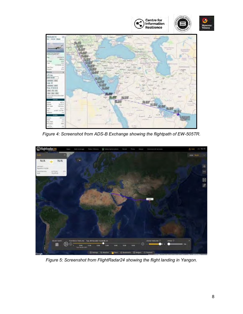

*Figure 4: Screenshot from ADS-B Exchange showing the flightpath of EW-505TR.*



*Figure 5: Screenshot from FlightRadar24 showing the flight landing in Yangon.*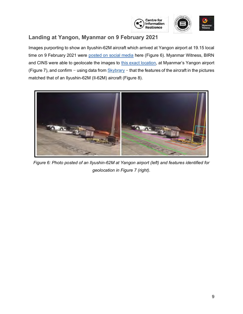

#### <span id="page-8-0"></span>**Landing at Yangon, Myanmar on 9 February 2021**

Images purporting to show an Ilyushin-62M aircraft which arrived at Yangon airport at 19.15 local time on 9 February 2021 were [posted on social media](https://twitter.com/MyanmarResearch/status/1359592492711239680?s=20) here (Figure 6). Myanmar Witness, BIRN and CINS were able to geolocate the images to [this exact location,](https://goo.gl/maps/pJDCSNtHngaTCALK9) at Myanmar's Yangon airport (Figure 7), and confirm – using data from  $Skybrary - that the features of the aircraft in the pictures$ matched that of an Ilyushin-62M (Il-62M) aircraft (Figure 8).



*Figure 6: Photo posted of an Ilyushin-62M at Yangon airport (left) and features identified for geolocation in Figure 7 (right).*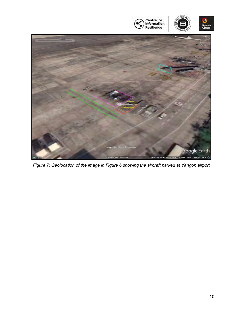

*Figure 7: Geolocation of the image in Figure 6 showing the aircraft parked at Yangon airport*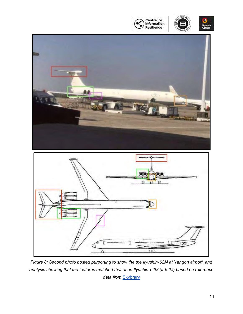





*Figure 8: Second photo posted purporting to show the the Ilyushin-62M at Yangon airport, and analysis showing that the features matched that of an Ilyushin-62M (Il-62M) based on reference*  data from **[Skybrary](https://skybrary.aero/aircraft/il62)**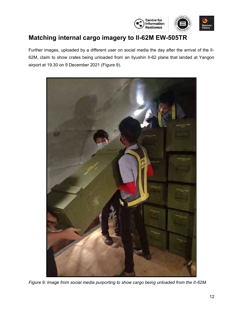

## <span id="page-11-0"></span>**Matching internal cargo imagery to Il-62M EW-505TR**

Further images, uploaded by a different user on social media the day after the arrival of the Il-62M, claim to show crates being unloaded from an Ilyushin Il-62 plane that landed at Yangon airport at 19.30 on 9 December 2021 (Figure 9).



*Figure 9: Image from social media purporting to show cargo being unloaded from the II-62M.*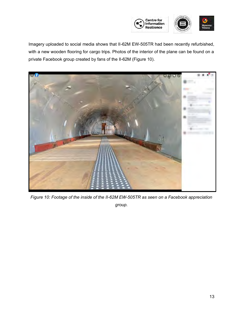

Imagery uploaded to social media shows that II-62M EW-505TR had been recently refurbished, with a new wooden flooring for cargo trips. Photos of the interior of the plane can be found on a private Facebook group created by fans of the Il-62M (Figure 10).



*Figure 10: Footage of the inside of the II-62M EW-505TR as seen on a Facebook appreciation* 

*group.*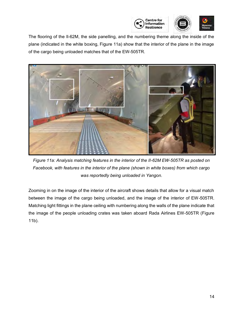

The flooring of the Il-62M, the side panelling, and the numbering theme along the inside of the plane (indicated in the white boxing, Figure 11a) show that the interior of the plane in the image of the cargo being unloaded matches that of the EW-505TR.



*Figure 11a: Analysis matching features in the interior of the II-62M EW-505TR as posted on Facebook, with features in the interior of the plane (shown in white boxes) from which cargo was reportedly being unloaded in Yangon.*

Zooming in on the image of the interior of the aircraft shows details that allow for a visual match between the image of the cargo being unloaded, and the image of the interior of EW-505TR. Matching light fittings in the plane ceiling with numbering along the walls of the plane indicate that the image of the people unloading crates was taken aboard Rada Airlines EW-505TR (Figure 11b).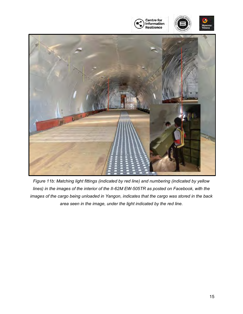

<span id="page-14-0"></span>*Figure 11b: Matching light fittings (indicated by red line) and numbering (indicated by yellow lines) in the images of the interior of the II-62M EW-505TR as posted on Facebook, with the images of the cargo being unloaded in Yangon, indicates that the cargo was stored in the back area seen in the image, under the light indicated by the red line.*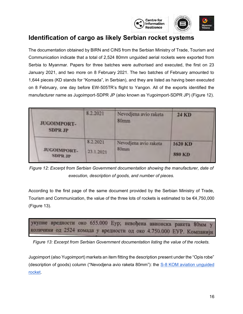

#### **Identification of cargo as likely Serbian rocket systems**

The documentation obtained by BIRN and CINS from the Serbian Ministry of Trade, Tourism and Communication indicate that a total of 2,524 80mm unguided aerial rockets were exported from Serbia to Myanmar. Papers for three batches were authorised and executed, the first on 23 January 2021, and two more on 8 February 2021. The two batches of February amounted to 1,644 pieces (KD stands for "Komada", in Serbian), and they are listed as having been executed on 8 February, one day before EW-505TR's flight to Yangon. All of the exports identified the manufacturer name as Jugoimport-SDPR JP (also known as Yugoimport-SDPR JP) (Figure 12).

| <b>JUGOIMPORT-</b><br><b>SDPR JP</b> | 8.2.2021              | Nevodjena avio raketa<br>80mm | <b>24 KD</b>             |  |
|--------------------------------------|-----------------------|-------------------------------|--------------------------|--|
| <b>JUGOIMPORT-</b><br><b>SDPR JP</b> | 8.2.2021<br>23.1.2021 | Nevodjena avio raketa<br>80mm | 1620 KD<br><b>880 KD</b> |  |

*Figure 12: Excerpt from Serbian Government documentation showing the manufacturer, date of execution, description of goods, and number of pieces.*

According to the first page of the same document provided by the Serbian Ministry of Trade, Tourism and Communication, the value of the three lots of rockets is estimated to be  $\epsilon$ 4,750,000 (Figure 13).



*Figure 13: Excerpt from Serbian Government documentation listing the value of the rockets.*

Jugoimport (also Yugoimport) markets an item fitting the description present under the "Opis robe" (description of goods) column ("Nevodjena avio raketa 80mm"): the [S-8 KOM aviation unguided](https://www.yugoimport.com/en/proizvodi/s-8-kom-aviation-unguided-rocket)  [rocket.](https://www.yugoimport.com/en/proizvodi/s-8-kom-aviation-unguided-rocket)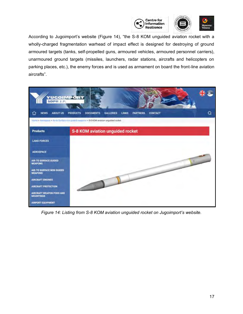

According to Jugoimport's website (Figure 14), "the S-8 KOM unguided aviation rocket with a wholly-charged fragmentation warhead of impact effect is designed for destroying of ground armoured targets (tanks, self-propelled guns, armoured vehicles, armoured personnel carriers), unarmoured ground targets (missiles, launchers, radar stations, aircrafts and helicopters on parking places, etc.), the enemy forces and is used as armament on board the front-line aviation aircrafts".

| YUGOIMPORT                                          |                                                                                                                                                                                                 |   |
|-----------------------------------------------------|-------------------------------------------------------------------------------------------------------------------------------------------------------------------------------------------------|---|
| <b>ABOUT US</b><br>⊙<br><b>NEWS</b>                 | <b>GALLERIES</b><br>CONTACT<br><b>PRODUCTS</b><br><b>DOCUMENTS</b><br>LINKS<br><b><i>PARTNERS</i></b><br>Home > Amospace > Air-to Surface non guided weapons > S-8 KOM aviation unguided rocket | Q |
| <b>Products</b>                                     | S-8 KOM aviation unguided rocket                                                                                                                                                                |   |
| <b>LAND FORCES</b>                                  |                                                                                                                                                                                                 |   |
| <b>AEROSPACE</b>                                    |                                                                                                                                                                                                 |   |
| <b>AIR-TO SURFACE GUIDED</b><br><b>WEAPONS</b>      |                                                                                                                                                                                                 |   |
| <b>AIR-TO SURFACE NON GUIDED</b><br><b>WEAPONS</b>  |                                                                                                                                                                                                 |   |
| <b>AIRCRAFT ENGINES</b>                             |                                                                                                                                                                                                 |   |
| <b>AIRCRAFT PROTECTION</b>                          |                                                                                                                                                                                                 |   |
| <b>AIRCRAFT WEAPON PODS AND</b><br><b>MOUNTINGS</b> |                                                                                                                                                                                                 |   |
| <b>AIRPORT EQUIPMENT</b>                            |                                                                                                                                                                                                 |   |

<span id="page-16-0"></span>*Figure 14: Listing from S-8 KOM aviation unguided rocket on Jugoimport's website.*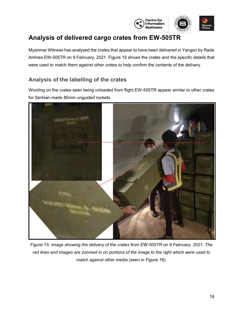

## **Analysis of delivered cargo crates from EW-505TR**

Myanmar Witness has analysed the crates that appear to have been delivered in Yangon by Rada Airlines EW-505TR on 9 February, 2021. Figure 15 shows the crates and the specific details that were used to match them against other crates to help confirm the contents of the delivery.

#### <span id="page-17-0"></span>**Analysis of the labelling of the crates**

Wording on the crates seen being unloaded from flight EW-505TR appear similar to other crates for Serbian-made 80mm unguided rockets.



*Figure 15: Image showing the delivery of the crates from EW-505TR on 9 February, 2021. The red lines and images are zoomed in on portions of the image to the right which were used to match against other media (seen in Figure 16).*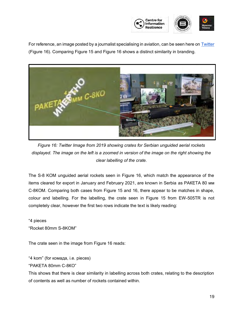

For reference, an image posted by a journalist specialising in aviation, can be seen here on [Twitter](https://twitter.com/PeterVoinovich/status/1084085257995993088?s=20) (Figure 16). Comparing Figure 15 and Figure 16 shows a distinct similarity in branding.



*Figure 16: Twitter Image from 2019 showing crates for Serbian unguided aerial rockets displayed. The image on the left is a zoomed in version of the image on the right showing the clear labelling of the crate.*

The S-8 KOM unguided aerial rockets seen in Figure 16, which match the appearance of the items cleared for export in January and February 2021, are known in Serbia as РАКЕТА 80 мм С-8КОМ. Comparing both cases from Figure 15 and 16, there appear to be matches in shape, colour and labelling. For the labelling, the crate seen in Figure 15 from EW-505TR is not completely clear, however the first two rows indicate the text is likely reading:

"4 pieces "Rocket 80mm S-8KOM"

The crate seen in the image from Figure 16 reads:

"4 kom" (for комада, i.e. pieces)

"PAKETA 80mm C-8КO"

This shows that there is clear similarity in labelling across both crates, relating to the description of contents as well as number of rockets contained within.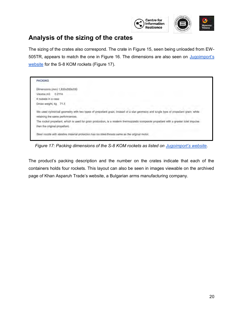

#### <span id="page-19-0"></span>**Analysis of the sizing of the crates**

The sizing of the crates also correspond. The crate in Figure 15, seen being unloaded from EW-505TR, appears to match the one in Figure 16. The dimensions are also seen on Jugoimport's [website](https://www.yugoimport.com/en/proizvodi/s-8-kom-aviation-unguided-rocket) for the S-8 KOM rockets (Figure 17).

| <b>PACKING</b>                |                                                                                                                                                                            |
|-------------------------------|----------------------------------------------------------------------------------------------------------------------------------------------------------------------------|
|                               | Dimensions (mm) 1,830x350x330                                                                                                                                              |
| Volume.m3 0.2114              |                                                                                                                                                                            |
| 4 rockets in a case           |                                                                                                                                                                            |
| Gross weight, kg 71.3         |                                                                                                                                                                            |
|                               | We used cylindrical geometry with two types of propellant grain, Instead of a star geometry and single type of propellant grain, while<br>retaining the same performances. |
|                               | The rocket propellant, which is used for grain production, is a modern thermoplastic composite propellant with a greater total impulse                                     |
| then the original propellant. |                                                                                                                                                                            |
|                               | Steel nozzle with ablative material protection has six steel throats same as the original motor.                                                                           |

*Figure 17: Packing dimensions of the S-8 KOM rockets as listed on [Jugoimport's website.](https://www.yugoimport.com/en/proizvodi/s-8-kom-aviation-unguided-rocket)*

The product's packing description and the number on the crates indicate that each of the containers holds four rockets. This layout can also be seen in images viewable on the archived page of Khan Asparuh Trade's website, a Bulgarian arms manufacturing company.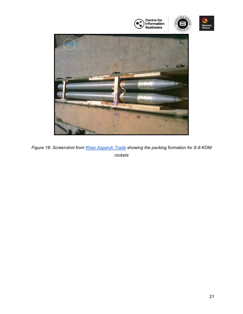

<span id="page-20-0"></span>*Figure 18: Screenshot from [Khan Asparuh Trade](https://archive.ph/wip/lcQPK) showing the packing formation for S-8 KOM rockets*

s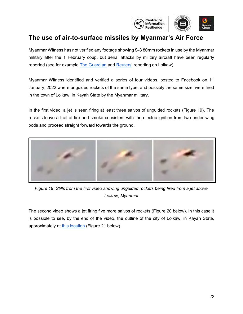

#### **The use of air-to-surface missiles by Myanmar's Air Force**

Myanmar Witness has not verified any footage showing S-8 80mm rockets in use by the Myanmar military after the 1 February coup, but aerial attacks by military aircraft have been regularly reported (see for example [The Guardian](https://www.theguardian.com/world/2022/jan/14/burmese-flee-bombardment-as-junta-makes-example-of-city-of-loikaw) and [Reuters'](https://www.reuters.com/world/asia-pacific/un-rights-envoy-urges-halt-attacks-myanmar-town-residents-trapped-2022-01-10/) reporting on Loikaw).

Myanmar Witness identified and verified a series of four videos, posted to Facebook on 11 January, 2022 where unguided rockets of the same type, and possibly the same size, were fired in the town of Loikaw, in Kayah State by the Myanmar military.

In the first video, a jet is seen firing at least three salvos of unguided rockets (Figure 19). The rockets leave a trail of fire and smoke consistent with the electric ignition from two under-wing pods and proceed straight forward towards the ground.



*Figure 19: Stills from the first video showing unguided rockets being fired from a jet above Loikaw, Myanmar*

The second video shows a jet firing five more salvos of rockets (Figure 20 below). In this case it is possible to see, by the end of the video, the outline of the city of Loikaw, in Kayah State, approximately at [this location](https://goo.gl/maps/AqLDwpoGqEDS97AG7) (Figure 21 below).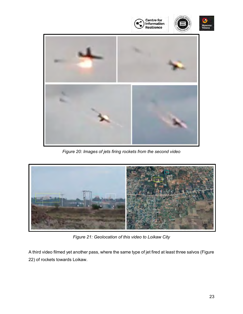

*Figure 20: Images of jets firing rockets from the second video*



*Figure 21: Geolocation of this video to Loikaw City*

A third video filmed yet another pass, where the same type of jet fired at least three salvos (Figure 22) of rockets towards Loikaw.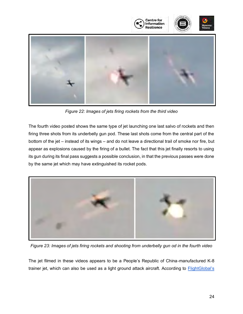

*Figure 22: Images of jets firing rockets from the third video*

The fourth video posted shows the same type of jet launching one last salvo of rockets and then firing three shots from its underbelly gun pod. These last shots come from the central part of the bottom of the jet – instead of its wings – and do not leave a directional trail of smoke nor fire, but appear as explosions caused by the firing of a bullet. The fact that this jet finally resorts to using its gun during its final pass suggests a possible conclusion, in that the previous passes were done by the same jet which may have extinguished its rocket pods.



*Figure 23: Images of jets firing rockets and shooting from underbelly gun od in the fourth video*

The jet filmed in these videos appears to be a People's Republic of China-manufactured K-8 trainer jet, which can also be used as a light ground attack aircraft. According to **FlightGlobal's**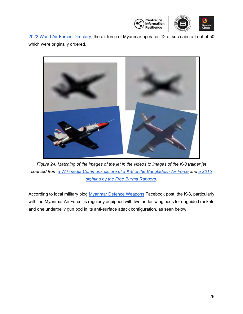

[2022 World Air Forces Directory,](https://www.flightglobal.com/reports/world-air-forces-directory-2022/146695.article) the air force of Myanmar operates 12 of such aircraft out of 50 which were originally ordered.



*Figure 24: Matching of the images of the jet in the videos to images of the K-8 trainer jet sourced from [a Wikimedia Commons picture of a K-8 of the Bangladesh Air Force](https://commons.wikimedia.org/wiki/File:Hongdu_K-8_Jet_Trainer_(Fly_Past)_Bangladesh_Air_Force.jpg) and [a 2015](https://www.freeburmarangers.org/2015/05/22/fbr-ranger-injured-by-burma-army-mortar-fire-and-heavy-airstrikes-on-kachin-positions-photographed/)  [sighting by the Free Burma Rangers](https://www.freeburmarangers.org/2015/05/22/fbr-ranger-injured-by-burma-army-mortar-fire-and-heavy-airstrikes-on-kachin-positions-photographed/)*.

According to local military blog [Myanmar Defence Weapons](https://m.facebook.com/210114122377899/photos/a.217657894956855/1065316626857640/?type=3&p=23) Facebook post, the K-8, particularly with the Myanmar Air Force, is regularly equipped with two under-wing pods for unguided rockets and one underbelly gun pod in its anti-surface attack configuration, as seen below.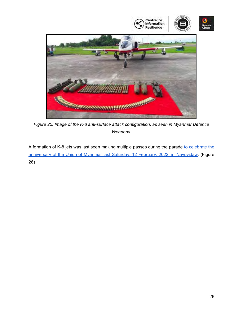

*Figure 25: Image of the K-8 anti-surface attack configuration, as seen in Myanmar Defence Weapons.*

A formation of K-8 jets was last seen making multiple passes during the parade to celebrate the [anniversary of the Union of Myanmar last Saturday, 12 February, 2022, in Naypyidaw.](https://www.youtube.com/watch?v=St8rYtjKCoM) (Figure 26)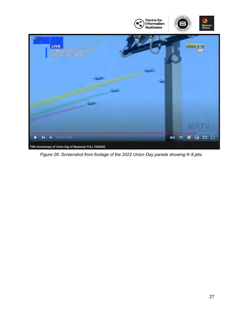

*Figure 26: Screenshot from footage of the 2022 Union Day parade showing K-8 jets.*